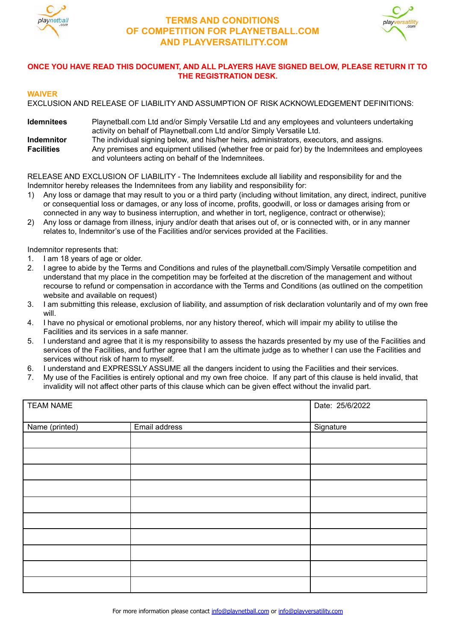



# **ONCE YOU HAVE READ THIS DOCUMENT, AND ALL PLAYERS HAVE SIGNED BELOW, PLEASE RETURN IT TO THE REGISTRATION DESK.**

## **WAIVER**

EXCLUSION AND RELEASE OF LIABILITY AND ASSUMPTION OF RISK ACKNOWLEDGEMENT DEFINITIONS:

**Idemnitees** Playnetball.com Ltd and/or Simply Versatile Ltd and any employees and volunteers undertaking activity on behalf of Playnetball.com Ltd and/or Simply Versatile Ltd. **Indemnitor** The individual signing below, and his/her heirs, administrators, executors, and assigns. **Facilities** Any premises and equipment utilised (whether free or paid for) by the Indemnitees and employees and volunteers acting on behalf of the Indemnitees.

RELEASE AND EXCLUSION OF LIABILITY - The Indemnitees exclude all liability and responsibility for and the Indemnitor hereby releases the Indemnitees from any liability and responsibility for:

- 1) Any loss or damage that may result to you or a third party (including without limitation, any direct, indirect, punitive or consequential loss or damages, or any loss of income, profits, goodwill, or loss or damages arising from or connected in any way to business interruption, and whether in tort, negligence, contract or otherwise);
- 2) Any loss or damage from illness, injury and/or death that arises out of, or is connected with, or in any manner relates to, Indemnitor's use of the Facilities and/or services provided at the Facilities.

Indemnitor represents that:

- 1. I am 18 years of age or older.
- 2. I agree to abide by the Terms and Conditions and rules of the playnetball.com/Simply Versatile competition and understand that my place in the competition may be forfeited at the discretion of the management and without recourse to refund or compensation in accordance with the Terms and Conditions (as outlined on the competition website and available on request)
- 3. I am submitting this release, exclusion of liability, and assumption of risk declaration voluntarily and of my own free will.
- 4. I have no physical or emotional problems, nor any history thereof, which will impair my ability to utilise the Facilities and its services in a safe manner.
- 5. I understand and agree that it is my responsibility to assess the hazards presented by my use of the Facilities and services of the Facilities, and further agree that I am the ultimate judge as to whether I can use the Facilities and services without risk of harm to myself.
- 6. I understand and EXPRESSLY ASSUME all the dangers incident to using the Facilities and their services.
- 7. My use of the Facilities is entirely optional and my own free choice. If any part of this clause is held invalid, that invalidity will not affect other parts of this clause which can be given effect without the invalid part.

| <b>TEAM NAME</b> |               | Date: 25/6/2022 |
|------------------|---------------|-----------------|
| Name (printed)   | Email address | Signature       |
|                  |               |                 |
|                  |               |                 |
|                  |               |                 |
|                  |               |                 |
|                  |               |                 |
|                  |               |                 |
|                  |               |                 |
|                  |               |                 |
|                  |               |                 |
|                  |               |                 |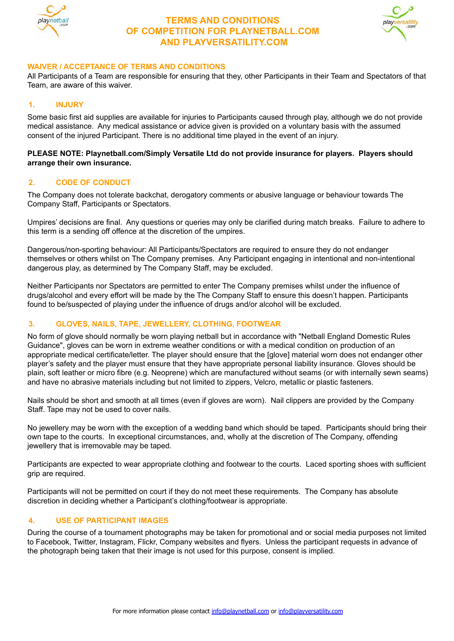



### **WAIVER / ACCEPTANCE OF TERMS AND CONDITIONS**

All Participants of a Team are responsible for ensuring that they, other Participants in their Team and Spectators of that Team, are aware of this waiver.

## **1. INJURY**

Some basic first aid supplies are available for injuries to Participants caused through play, although we do not provide medical assistance. Any medical assistance or advice given is provided on a voluntary basis with the assumed consent of the injured Participant. There is no additional time played in the event of an injury.

#### **PLEASE NOTE: Playnetball.com/Simply Versatile Ltd do not provide insurance for players. Players should arrange their own insurance.**

### **2. CODE OF CONDUCT**

The Company does not tolerate backchat, derogatory comments or abusive language or behaviour towards The Company Staff, Participants or Spectators.

Umpires' decisions are final. Any questions or queries may only be clarified during match breaks. Failure to adhere to this term is a sending off offence at the discretion of the umpires.

Dangerous/non-sporting behaviour: All Participants/Spectators are required to ensure they do not endanger themselves or others whilst on The Company premises. Any Participant engaging in intentional and non-intentional dangerous play, as determined by The Company Staff, may be excluded.

Neither Participants nor Spectators are permitted to enter The Company premises whilst under the influence of drugs/alcohol and every effort will be made by the The Company Staff to ensure this doesn't happen. Participants found to be/suspected of playing under the influence of drugs and/or alcohol will be excluded.

## **3. GLOVES, NAILS, TAPE, JEWELLERY, CLOTHING, FOOTWEAR**

No form of glove should normally be worn playing netball but in accordance with "Netball England Domestic Rules Guidance", gloves can be worn in extreme weather conditions or with a medical condition on production of an appropriate medical certificate/letter. The player should ensure that the [glove] material worn does not endanger other player's safety and the player must ensure that they have appropriate personal liability insurance. Gloves should be plain, soft leather or micro fibre (e.g. Neoprene) which are manufactured without seams (or with internally sewn seams) and have no abrasive materials including but not limited to zippers, Velcro, metallic or plastic fasteners.

Nails should be short and smooth at all times (even if gloves are worn). Nail clippers are provided by the Company Staff. Tape may not be used to cover nails.

No jewellery may be worn with the exception of a wedding band which should be taped. Participants should bring their own tape to the courts. In exceptional circumstances, and, wholly at the discretion of The Company, offending jewellery that is irremovable may be taped.

Participants are expected to wear appropriate clothing and footwear to the courts. Laced sporting shoes with sufficient grip are required.

Participants will not be permitted on court if they do not meet these requirements. The Company has absolute discretion in deciding whether a Participant's clothing/footwear is appropriate.

## **4. USE OF PARTICIPANT IMAGES**

During the course of a tournament photographs may be taken for promotional and or social media purposes not limited to Facebook, Twitter, Instagram, Flickr, Company websites and flyers. Unless the participant requests in advance of the photograph being taken that their image is not used for this purpose, consent is implied.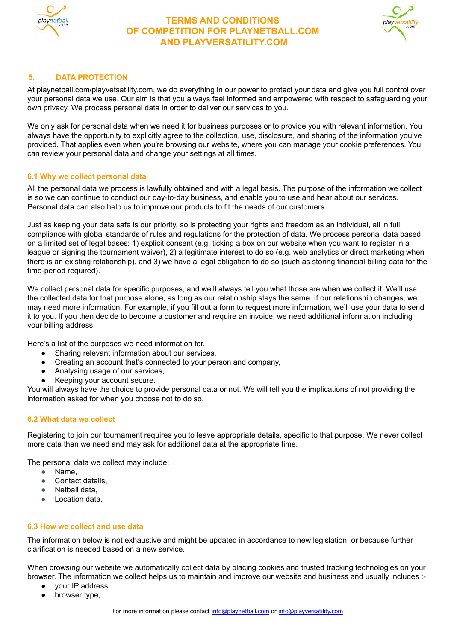



# **5. DATA PROTECTION**

At playnetball.com/playvetsatility.com, we do everything in our power to protect your data and give you full control over your personal data we use. Our aim is that you always feel informed and empowered with respect to safeguarding your own privacy. We process personal data in order to deliver our services to you.

We only ask for personal data when we need it for business purposes or to provide you with relevant information. You always have the opportunity to explicitly agree to the collection, use, disclosure, and sharing of the information you've provided. That applies even when you're browsing our website, where you can manage your cookie preferences. You can review your personal data and change your settings at all times.

### **6.1 Why we collect personal data**

All the personal data we process is lawfully obtained and with a legal basis. The purpose of the information we collect is so we can continue to conduct our day-to-day business, and enable you to use and hear about our services. Personal data can also help us to improve our products to fit the needs of our customers.

Just as keeping your data safe is our priority, so is protecting your rights and freedom as an individual, all in full compliance with global standards of rules and regulations for the protection of data. We process personal data based on a limited set of legal bases: 1) explicit consent (e.g. ticking a box on our website when you want to register in a league or signing the tournament waiver), 2) a legitimate interest to do so (e.g. web analytics or direct marketing when there is an existing relationship), and 3) we have a legal obligation to do so (such as storing financial billing data for the time-period required).

We collect personal data for specific purposes, and we'll always tell you what those are when we collect it. We'll use the collected data for that purpose alone, as long as our relationship stays the same. If our relationship changes, we may need more information. For example, if you fill out a form to request more information, we'll use your data to send it to you. If you then decide to become a customer and require an invoice, we need additional information including your billing address.

Here's a list of the purposes we need information for.

- Sharing relevant information about our services,
- Creating an account that's connected to your person and company,
- Analysing usage of our services,
- Keeping your account secure.

You will always have the choice to provide personal data or not. We will tell you the implications of not providing the information asked for when you choose not to do so.

## **6.2 What data we collect**

Registering to join our tournament requires you to leave appropriate details, specific to that purpose. We never collect more data than we need and may ask for additional data at the appropriate time.

The personal data we collect may include:

- Name,
- Contact details.
- Netball data,
- Location data.

## **6.3 How we collect and use data**

The information below is not exhaustive and might be updated in accordance to new legislation, or because further clarification is needed based on a new service.

When browsing our website we automatically collect data by placing cookies and trusted tracking technologies on your browser. The information we collect helps us to maintain and improve our website and business and usually includes :-

- your IP address,
- browser type,